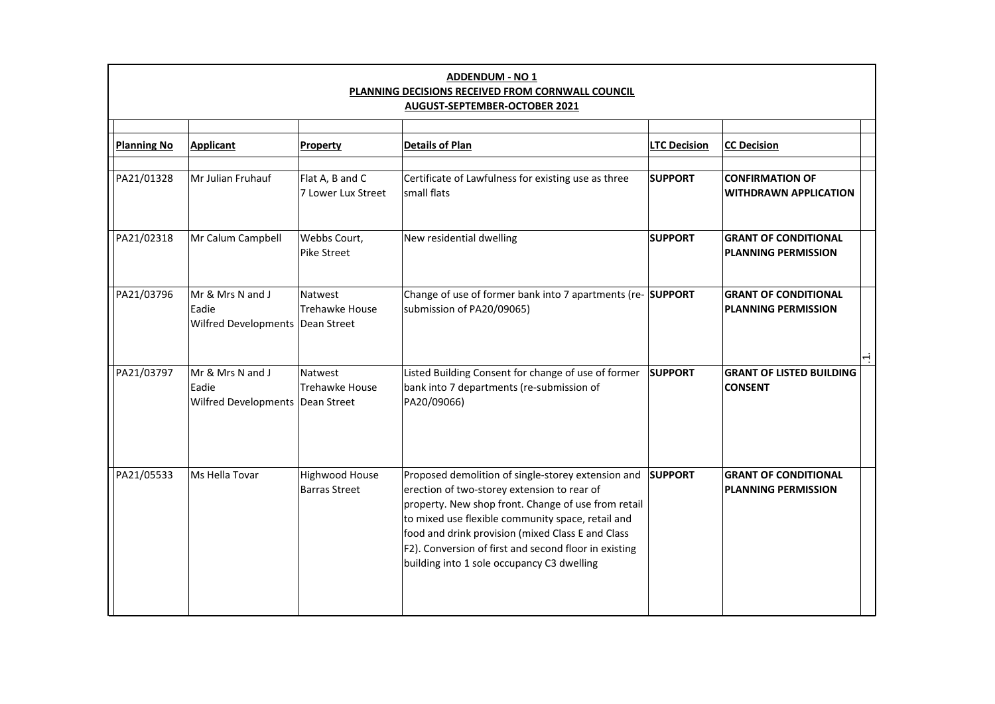| <b>ADDENDUM - NO 1</b><br>PLANNING DECISIONS RECEIVED FROM CORNWALL COUNCIL<br>AUGUST-SEPTEMBER-OCTOBER 2021 |                                                                 |                                        |                                                                                                                                                                                                                                                                                                                                                                           |                     |                                                           |  |  |
|--------------------------------------------------------------------------------------------------------------|-----------------------------------------------------------------|----------------------------------------|---------------------------------------------------------------------------------------------------------------------------------------------------------------------------------------------------------------------------------------------------------------------------------------------------------------------------------------------------------------------------|---------------------|-----------------------------------------------------------|--|--|
|                                                                                                              |                                                                 |                                        |                                                                                                                                                                                                                                                                                                                                                                           |                     |                                                           |  |  |
| <b>Planning No</b>                                                                                           | <b>Applicant</b>                                                | Property                               | <b>Details of Plan</b>                                                                                                                                                                                                                                                                                                                                                    | <b>LTC Decision</b> | <b>CC Decision</b>                                        |  |  |
| PA21/01328                                                                                                   | Mr Julian Fruhauf                                               | Flat A, B and C<br>7 Lower Lux Street  | Certificate of Lawfulness for existing use as three<br>small flats                                                                                                                                                                                                                                                                                                        | <b>SUPPORT</b>      | <b>CONFIRMATION OF</b><br><b>WITHDRAWN APPLICATION</b>    |  |  |
| PA21/02318                                                                                                   | Mr Calum Campbell                                               | Webbs Court,<br>Pike Street            | New residential dwelling                                                                                                                                                                                                                                                                                                                                                  | <b>SUPPORT</b>      | <b>GRANT OF CONDITIONAL</b><br><b>PLANNING PERMISSION</b> |  |  |
| PA21/03796                                                                                                   | Mr & Mrs N and J<br>Eadie<br>Wilfred Developments   Dean Street | Natwest<br><b>Trehawke House</b>       | Change of use of former bank into 7 apartments (re- SUPPORT<br>submission of PA20/09065)                                                                                                                                                                                                                                                                                  |                     | <b>GRANT OF CONDITIONAL</b><br><b>PLANNING PERMISSION</b> |  |  |
|                                                                                                              |                                                                 |                                        |                                                                                                                                                                                                                                                                                                                                                                           |                     |                                                           |  |  |
| PA21/03797                                                                                                   | Mr & Mrs N and J<br>Eadie<br>Wilfred Developments   Dean Street | Natwest<br>Trehawke House              | Listed Building Consent for change of use of former<br>bank into 7 departments (re-submission of<br>PA20/09066)                                                                                                                                                                                                                                                           | <b>SUPPORT</b>      | <b>GRANT OF LISTED BUILDING</b><br><b>CONSENT</b>         |  |  |
| PA21/05533                                                                                                   | Ms Hella Tovar                                                  | Highwood House<br><b>Barras Street</b> | Proposed demolition of single-storey extension and<br>erection of two-storey extension to rear of<br>property. New shop front. Change of use from retail<br>to mixed use flexible community space, retail and<br>food and drink provision (mixed Class E and Class<br>F2). Conversion of first and second floor in existing<br>building into 1 sole occupancy C3 dwelling | <b>SUPPORT</b>      | <b>GRANT OF CONDITIONAL</b><br><b>PLANNING PERMISSION</b> |  |  |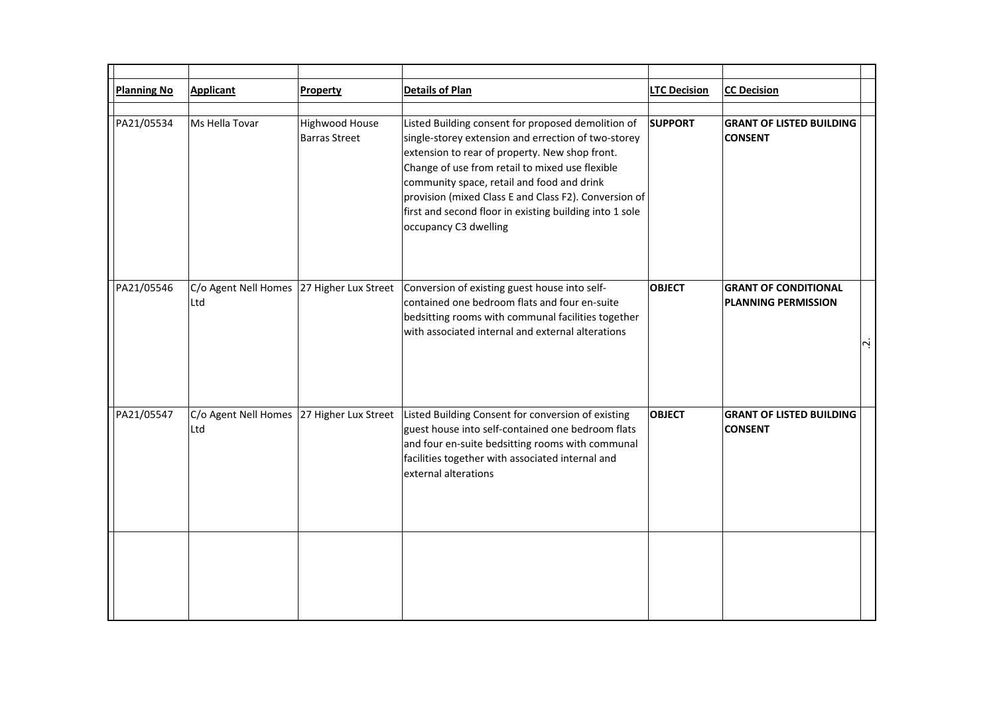| <b>Planning No</b> | Applicant                   | Property                               | <b>Details of Plan</b>                                                                                                                                                                                                                                                                                                                                                                                    | <b>LTC Decision</b> | <b>CC Decision</b>                                                                    |
|--------------------|-----------------------------|----------------------------------------|-----------------------------------------------------------------------------------------------------------------------------------------------------------------------------------------------------------------------------------------------------------------------------------------------------------------------------------------------------------------------------------------------------------|---------------------|---------------------------------------------------------------------------------------|
| PA21/05534         | Ms Hella Tovar              | Highwood House<br><b>Barras Street</b> | Listed Building consent for proposed demolition of<br>single-storey extension and errection of two-storey<br>extension to rear of property. New shop front.<br>Change of use from retail to mixed use flexible<br>community space, retail and food and drink<br>provision (mixed Class E and Class F2). Conversion of<br>first and second floor in existing building into 1 sole<br>occupancy C3 dwelling | <b>SUPPORT</b>      | <b>GRANT OF LISTED BUILDING</b><br><b>CONSENT</b>                                     |
| PA21/05546         | C/o Agent Nell Homes<br>Ltd | 27 Higher Lux Street                   | Conversion of existing guest house into self-<br>contained one bedroom flats and four en-suite<br>bedsitting rooms with communal facilities together<br>with associated internal and external alterations                                                                                                                                                                                                 | <b>OBJECT</b>       | <b>GRANT OF CONDITIONAL</b><br><b>PLANNING PERMISSION</b><br>$\overline{\mathcal{L}}$ |
| PA21/05547         | C/o Agent Nell Homes<br>Ltd | 27 Higher Lux Street                   | Listed Building Consent for conversion of existing<br>guest house into self-contained one bedroom flats<br>and four en-suite bedsitting rooms with communal<br>facilities together with associated internal and<br>external alterations                                                                                                                                                                   | <b>OBJECT</b>       | <b>GRANT OF LISTED BUILDING</b><br><b>CONSENT</b>                                     |
|                    |                             |                                        |                                                                                                                                                                                                                                                                                                                                                                                                           |                     |                                                                                       |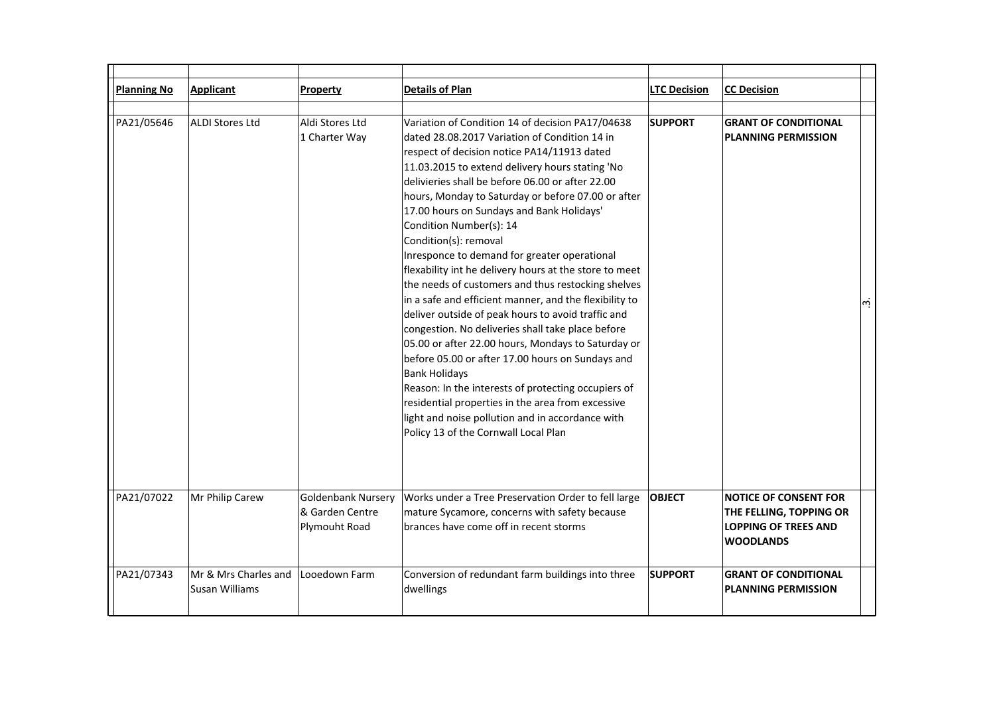| <b>Planning No</b> | Applicant                              | <b>Property</b>                                               | <b>Details of Plan</b>                                                                                                                                                                                                                                                                                                                                                                                                                                                                                                                                                                                                                                                                                                                                                                                                                                                                                                                                                                                                                                                                        | <b>LTC Decision</b> | <b>CC Decision</b>                                                                                         |
|--------------------|----------------------------------------|---------------------------------------------------------------|-----------------------------------------------------------------------------------------------------------------------------------------------------------------------------------------------------------------------------------------------------------------------------------------------------------------------------------------------------------------------------------------------------------------------------------------------------------------------------------------------------------------------------------------------------------------------------------------------------------------------------------------------------------------------------------------------------------------------------------------------------------------------------------------------------------------------------------------------------------------------------------------------------------------------------------------------------------------------------------------------------------------------------------------------------------------------------------------------|---------------------|------------------------------------------------------------------------------------------------------------|
| PA21/05646         | <b>ALDI Stores Ltd</b>                 | Aldi Stores Ltd<br>1 Charter Way                              | Variation of Condition 14 of decision PA17/04638<br>dated 28.08.2017 Variation of Condition 14 in<br>respect of decision notice PA14/11913 dated<br>11.03.2015 to extend delivery hours stating 'No<br>delivieries shall be before 06.00 or after 22.00<br>hours, Monday to Saturday or before 07.00 or after<br>17.00 hours on Sundays and Bank Holidays'<br>Condition Number(s): 14<br>Condition(s): removal<br>Inresponce to demand for greater operational<br>flexability int he delivery hours at the store to meet<br>the needs of customers and thus restocking shelves<br>in a safe and efficient manner, and the flexibility to<br>deliver outside of peak hours to avoid traffic and<br>congestion. No deliveries shall take place before<br>05.00 or after 22.00 hours, Mondays to Saturday or<br>before 05.00 or after 17.00 hours on Sundays and<br><b>Bank Holidays</b><br>Reason: In the interests of protecting occupiers of<br>residential properties in the area from excessive<br>light and noise pollution and in accordance with<br>Policy 13 of the Cornwall Local Plan | <b>SUPPORT</b>      | <b>GRANT OF CONDITIONAL</b><br><b>PLANNING PERMISSION</b><br>$ \omega $                                    |
| PA21/07022         | Mr Philip Carew                        | <b>Goldenbank Nursery</b><br>& Garden Centre<br>Plymouht Road | Works under a Tree Preservation Order to fell large<br>mature Sycamore, concerns with safety because<br>brances have come off in recent storms                                                                                                                                                                                                                                                                                                                                                                                                                                                                                                                                                                                                                                                                                                                                                                                                                                                                                                                                                | <b>OBJECT</b>       | <b>NOTICE OF CONSENT FOR</b><br>THE FELLING, TOPPING OR<br><b>LOPPING OF TREES AND</b><br><b>WOODLANDS</b> |
| PA21/07343         | Mr & Mrs Charles and<br>Susan Williams | Looedown Farm                                                 | Conversion of redundant farm buildings into three<br>dwellings                                                                                                                                                                                                                                                                                                                                                                                                                                                                                                                                                                                                                                                                                                                                                                                                                                                                                                                                                                                                                                | <b>SUPPORT</b>      | <b>GRANT OF CONDITIONAL</b><br><b>PLANNING PERMISSION</b>                                                  |